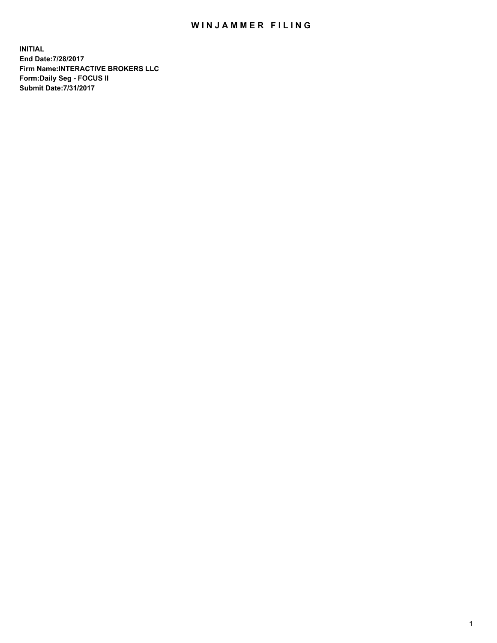## WIN JAMMER FILING

**INITIAL End Date:7/28/2017 Firm Name:INTERACTIVE BROKERS LLC Form:Daily Seg - FOCUS II Submit Date:7/31/2017**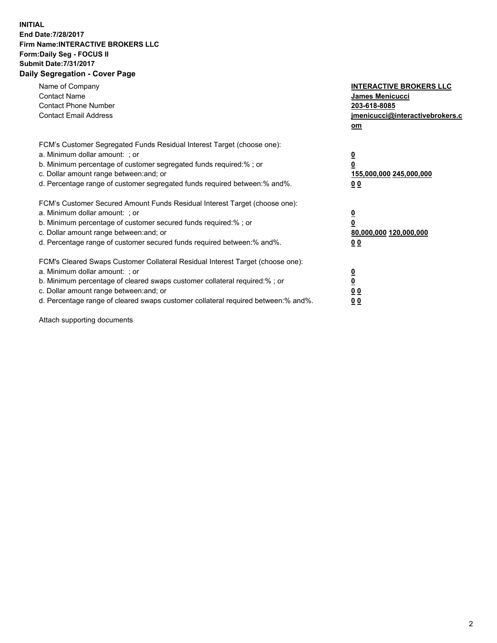## **INITIAL End Date:7/28/2017 Firm Name:INTERACTIVE BROKERS LLC Form:Daily Seg - FOCUS II Submit Date:7/31/2017 Daily Segregation - Cover Page**

| Name of Company<br><b>Contact Name</b><br><b>Contact Phone Number</b><br><b>Contact Email Address</b>                                                                                                                                                                                                                          | <b>INTERACTIVE BROKERS LLC</b><br><b>James Menicucci</b><br>203-618-8085<br>jmenicucci@interactivebrokers.c<br>om |
|--------------------------------------------------------------------------------------------------------------------------------------------------------------------------------------------------------------------------------------------------------------------------------------------------------------------------------|-------------------------------------------------------------------------------------------------------------------|
| FCM's Customer Segregated Funds Residual Interest Target (choose one):<br>a. Minimum dollar amount: ; or<br>b. Minimum percentage of customer segregated funds required:%; or<br>c. Dollar amount range between: and; or<br>d. Percentage range of customer segregated funds required between:% and%.                          | $\overline{\mathbf{0}}$<br>0<br>155,000,000 245,000,000<br>0 <sub>0</sub>                                         |
| FCM's Customer Secured Amount Funds Residual Interest Target (choose one):<br>a. Minimum dollar amount: ; or<br>b. Minimum percentage of customer secured funds required:%; or<br>c. Dollar amount range between: and; or<br>d. Percentage range of customer secured funds required between: % and %.                          | $\overline{\mathbf{0}}$<br>0<br>80,000,000 120,000,000<br>0 <sub>0</sub>                                          |
| FCM's Cleared Swaps Customer Collateral Residual Interest Target (choose one):<br>a. Minimum dollar amount: ; or<br>b. Minimum percentage of cleared swaps customer collateral required:% ; or<br>c. Dollar amount range between: and; or<br>d. Percentage range of cleared swaps customer collateral required between:% and%. | $\overline{\mathbf{0}}$<br>$\overline{\mathbf{0}}$<br>0 <sub>0</sub><br><u>00</u>                                 |

Attach supporting documents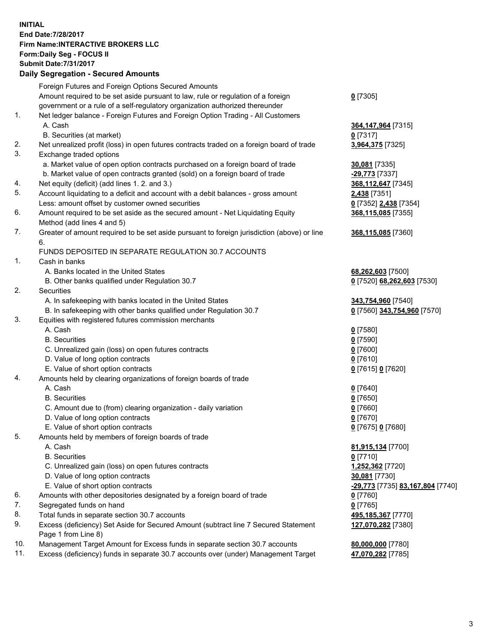## **INITIAL End Date:7/28/2017 Firm Name:INTERACTIVE BROKERS LLC Form:Daily Seg - FOCUS II Submit Date:7/31/2017 Daily Segregation - Secured Amounts**

|     | Daily Segregation - Secured Amounts                                                                          |                                  |
|-----|--------------------------------------------------------------------------------------------------------------|----------------------------------|
|     | Foreign Futures and Foreign Options Secured Amounts                                                          |                                  |
|     | Amount required to be set aside pursuant to law, rule or regulation of a foreign                             | $0$ [7305]                       |
|     | government or a rule of a self-regulatory organization authorized thereunder                                 |                                  |
| 1.  | Net ledger balance - Foreign Futures and Foreign Option Trading - All Customers                              |                                  |
|     | A. Cash                                                                                                      | 364,147,964 [7315]               |
|     | B. Securities (at market)                                                                                    | $0$ [7317]                       |
| 2.  | Net unrealized profit (loss) in open futures contracts traded on a foreign board of trade                    | 3,964,375 [7325]                 |
| 3.  |                                                                                                              |                                  |
|     | Exchange traded options                                                                                      |                                  |
|     | a. Market value of open option contracts purchased on a foreign board of trade                               | 30,081 [7335]                    |
|     | b. Market value of open contracts granted (sold) on a foreign board of trade                                 | -29,773 [7337]                   |
| 4.  | Net equity (deficit) (add lines 1.2. and 3.)                                                                 | 368,112,647 [7345]               |
| 5.  | Account liquidating to a deficit and account with a debit balances - gross amount                            | 2,438 [7351]                     |
|     | Less: amount offset by customer owned securities                                                             | 0 [7352] 2,438 [7354]            |
| 6.  | Amount required to be set aside as the secured amount - Net Liquidating Equity<br>Method (add lines 4 and 5) | 368,115,085 [7355]               |
| 7.  | Greater of amount required to be set aside pursuant to foreign jurisdiction (above) or line                  | 368,115,085 [7360]               |
|     | 6.                                                                                                           |                                  |
|     | FUNDS DEPOSITED IN SEPARATE REGULATION 30.7 ACCOUNTS                                                         |                                  |
| 1.  | Cash in banks                                                                                                |                                  |
|     | A. Banks located in the United States                                                                        | 68,262,603 [7500]                |
|     | B. Other banks qualified under Regulation 30.7                                                               | 0 [7520] 68,262,603 [7530]       |
| 2.  | Securities                                                                                                   |                                  |
|     | A. In safekeeping with banks located in the United States                                                    | 343,754,960 [7540]               |
|     | B. In safekeeping with other banks qualified under Regulation 30.7                                           | 0 [7560] 343,754,960 [7570]      |
| 3.  | Equities with registered futures commission merchants                                                        |                                  |
|     | A. Cash                                                                                                      | $0$ [7580]                       |
|     | <b>B.</b> Securities                                                                                         | $0$ [7590]                       |
|     | C. Unrealized gain (loss) on open futures contracts                                                          | $0$ [7600]                       |
|     | D. Value of long option contracts                                                                            | $0$ [7610]                       |
|     |                                                                                                              |                                  |
|     | E. Value of short option contracts                                                                           | 0 [7615] 0 [7620]                |
| 4.  | Amounts held by clearing organizations of foreign boards of trade<br>A. Cash                                 |                                  |
|     |                                                                                                              | $0$ [7640]                       |
|     | <b>B.</b> Securities                                                                                         | $0$ [7650]                       |
|     | C. Amount due to (from) clearing organization - daily variation                                              | $0$ [7660]                       |
|     | D. Value of long option contracts                                                                            | $0$ [7670]                       |
|     | E. Value of short option contracts                                                                           | 0 [7675] 0 [7680]                |
| 5.  | Amounts held by members of foreign boards of trade                                                           |                                  |
|     | A. Cash                                                                                                      | 81,915,134 [7700]                |
|     | <b>B.</b> Securities                                                                                         | $0$ [7710]                       |
|     | C. Unrealized gain (loss) on open futures contracts                                                          | 1,252,362 [7720]                 |
|     | D. Value of long option contracts                                                                            | 30,081 [7730]                    |
|     | E. Value of short option contracts                                                                           | -29,773 [7735] 83,167,804 [7740] |
| 6.  | Amounts with other depositories designated by a foreign board of trade                                       | $0$ [7760]                       |
| 7.  | Segregated funds on hand                                                                                     | $0$ [7765]                       |
| 8.  | Total funds in separate section 30.7 accounts                                                                | 495,185,367 [7770]               |
| 9.  | Excess (deficiency) Set Aside for Secured Amount (subtract line 7 Secured Statement                          | 127,070,282 [7380]               |
|     | Page 1 from Line 8)                                                                                          |                                  |
| 10. | Management Target Amount for Excess funds in separate section 30.7 accounts                                  | 80,000,000 [7780]                |
| 11. | Excess (deficiency) funds in separate 30.7 accounts over (under) Management Target                           | 47,070,282 [7785]                |
|     |                                                                                                              |                                  |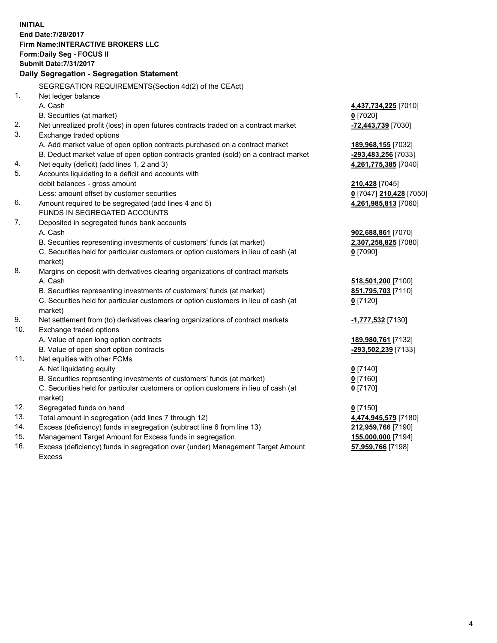**INITIAL End Date:7/28/2017 Firm Name:INTERACTIVE BROKERS LLC Form:Daily Seg - FOCUS II Submit Date:7/31/2017 Daily Segregation - Segregation Statement** SEGREGATION REQUIREMENTS(Section 4d(2) of the CEAct) 1. Net ledger balance A. Cash **4,437,734,225** [7010] B. Securities (at market) **0** [7020] 2. Net unrealized profit (loss) in open futures contracts traded on a contract market **-72,443,739** [7030] 3. Exchange traded options A. Add market value of open option contracts purchased on a contract market **189,968,155** [7032] B. Deduct market value of open option contracts granted (sold) on a contract market **-293,483,256** [7033] 4. Net equity (deficit) (add lines 1, 2 and 3) **4,261,775,385** [7040] 5. Accounts liquidating to a deficit and accounts with debit balances - gross amount **210,428** [7045] Less: amount offset by customer securities **0** [7047] **210,428** [7050] 6. Amount required to be segregated (add lines 4 and 5) **4,261,985,813** [7060] FUNDS IN SEGREGATED ACCOUNTS 7. Deposited in segregated funds bank accounts A. Cash **902,688,861** [7070] B. Securities representing investments of customers' funds (at market) **2,307,258,825** [7080] C. Securities held for particular customers or option customers in lieu of cash (at market) **0** [7090] 8. Margins on deposit with derivatives clearing organizations of contract markets A. Cash **518,501,200** [7100] B. Securities representing investments of customers' funds (at market) **851,795,703** [7110] C. Securities held for particular customers or option customers in lieu of cash (at market) **0** [7120] 9. Net settlement from (to) derivatives clearing organizations of contract markets **-1,777,532** [7130] 10. Exchange traded options A. Value of open long option contracts **189,980,761** [7132] B. Value of open short option contracts **-293,502,239** [7133] 11. Net equities with other FCMs A. Net liquidating equity **0** [7140] B. Securities representing investments of customers' funds (at market) **0** [7160] C. Securities held for particular customers or option customers in lieu of cash (at market) **0** [7170] 12. Segregated funds on hand **0** [7150] 13. Total amount in segregation (add lines 7 through 12) **4,474,945,579** [7180] 14. Excess (deficiency) funds in segregation (subtract line 6 from line 13) **212,959,766** [7190] 15. Management Target Amount for Excess funds in segregation **155,000,000** [7194] **57,959,766** [7198]

16. Excess (deficiency) funds in segregation over (under) Management Target Amount Excess